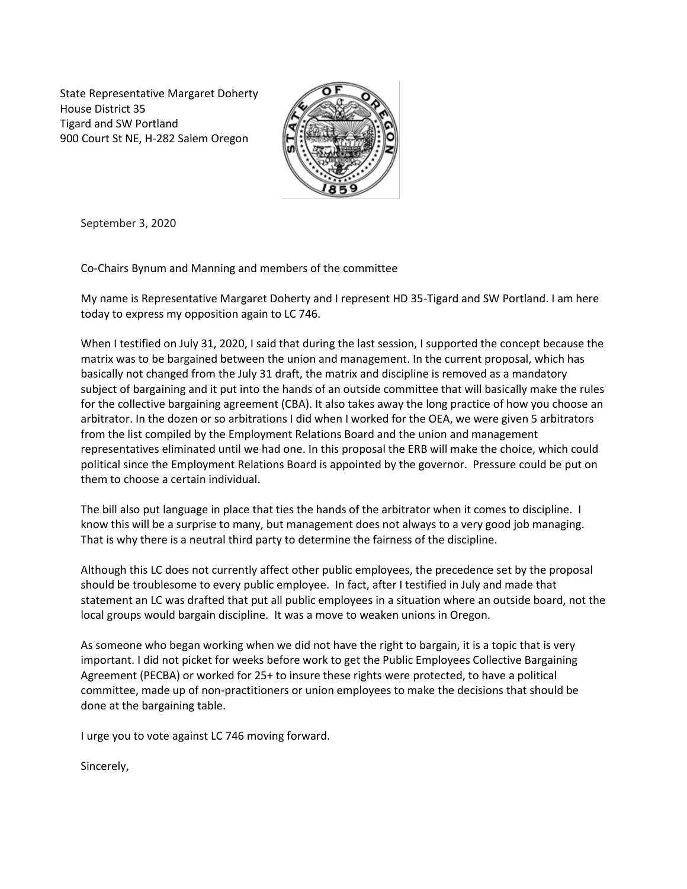State Representative Margaret Doherty House District 35 Tigard and SW Portland 900 Court St NE, H-282 Salem Oregon



September 3, 2020

Co-Chairs Bynum and Manning and members of the committee

My name is Representative Margaret Doherty and I represent HD 35-Tigard and SW Portland. I am here today to express my opposition again to LC 746.

When I testified on July 31, 2020, I said that during the last session, I supported the concept because the matrix was to be bargained between the union and management. In the current proposal, which has basically not changed from the July 31 draft, the matrix and discipline is removed as a mandatory subject of bargaining and it put into the hands of an outside committee that will basically make the rules for the collective bargaining agreement (CBA). It also takes away the long practice of how you choose an arbitrator. In the dozen or so arbitrations I did when I worked for the OEA, we were given 5 arbitrators from the list compiled by the Employment Relations Board and the union and management representatives eliminated until we had one. In this proposal the ERB will make the choice, which could political since the Employment Relations Board is appointed by the governor. Pressure could be put on them to choose a certain individual.

The bill also put language in place that ties the hands of the arbitrator when it comes to discipline. I know this will be a surprise to many, but management does not always to a very good job managing. That is why there is a neutral third party to determine the fairness of the discipline.

Although this LC does not currently affect other public employees, the precedence set by the proposal should be troublesome to every public employee. In fact, after I testified in July and made that statement an LC was drafted that put all public employees in a situation where an outside board, not the local groups would bargain discipline. It was a move to weaken unions in Oregon.

As someone who began working when we did not have the right to bargain, it is a topic that is very important. I did not picket for weeks before work to get the Public Employees Collective Bargaining Agreement (PECBA) or worked for 25+ to insure these rights were protected, to have a political committee, made up of non-practitioners or union employees to make the decisions that should be done at the bargaining table.

I urge you to vote against LC 746 moving forward.

Sincerely,